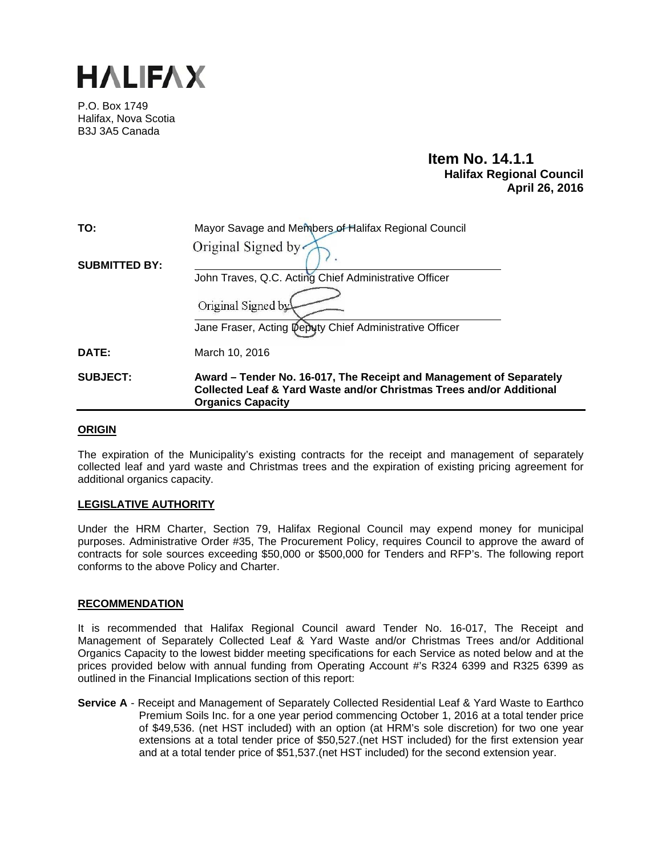

P.O. Box 1749 Halifax, Nova Scotia B3J 3A5 Canada

# **Item No. 14.1.1 Halifax Regional Council April 26, 2016**

| TO:                  | Mayor Savage and Members of Halifax Regional Council                                                                                                                    |  |
|----------------------|-------------------------------------------------------------------------------------------------------------------------------------------------------------------------|--|
|                      | Original Signed by                                                                                                                                                      |  |
| <b>SUBMITTED BY:</b> | John Traves, Q.C. Acting Chief Administrative Officer                                                                                                                   |  |
|                      | Original Signed by                                                                                                                                                      |  |
|                      | Jane Fraser, Acting Deputy Chief Administrative Officer                                                                                                                 |  |
| <b>DATE:</b>         | March 10, 2016                                                                                                                                                          |  |
| <b>SUBJECT:</b>      | Award – Tender No. 16-017, The Receipt and Management of Separately<br>Collected Leaf & Yard Waste and/or Christmas Trees and/or Additional<br><b>Organics Capacity</b> |  |

# **ORIGIN**

The expiration of the Municipality's existing contracts for the receipt and management of separately collected leaf and yard waste and Christmas trees and the expiration of existing pricing agreement for additional organics capacity.

# **LEGISLATIVE AUTHORITY**

Under the HRM Charter, Section 79, Halifax Regional Council may expend money for municipal purposes. Administrative Order #35, The Procurement Policy, requires Council to approve the award of contracts for sole sources exceeding \$50,000 or \$500,000 for Tenders and RFP's. The following report conforms to the above Policy and Charter.

# **RECOMMENDATION**

It is recommended that Halifax Regional Council award Tender No. 16-017, The Receipt and Management of Separately Collected Leaf & Yard Waste and/or Christmas Trees and/or Additional Organics Capacity to the lowest bidder meeting specifications for each Service as noted below and at the prices provided below with annual funding from Operating Account #'s R324 6399 and R325 6399 as outlined in the Financial Implications section of this report:

**Service A** - Receipt and Management of Separately Collected Residential Leaf & Yard Waste to Earthco Premium Soils Inc. for a one year period commencing October 1, 2016 at a total tender price of \$49,536. (net HST included) with an option (at HRM's sole discretion) for two one year extensions at a total tender price of \$50,527.(net HST included) for the first extension year and at a total tender price of \$51,537.(net HST included) for the second extension year.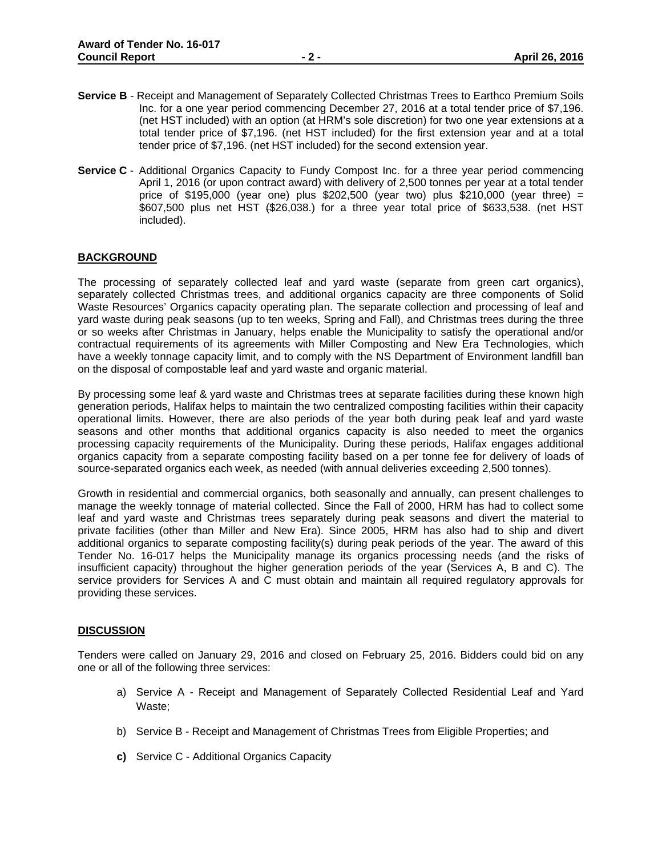- **Service B** Receipt and Management of Separately Collected Christmas Trees to Earthco Premium Soils Inc. for a one year period commencing December 27, 2016 at a total tender price of \$7,196. (net HST included) with an option (at HRM's sole discretion) for two one year extensions at a total tender price of \$7,196. (net HST included) for the first extension year and at a total tender price of \$7,196. (net HST included) for the second extension year.
- **Service C** Additional Organics Capacity to Fundy Compost Inc. for a three year period commencing April 1, 2016 (or upon contract award) with delivery of 2,500 tonnes per year at a total tender price of \$195,000 (year one) plus \$202,500 (year two) plus \$210,000 (year three) = \$607,500 plus net HST (\$26,038.) for a three year total price of \$633,538. (net HST included).

# **BACKGROUND**

The processing of separately collected leaf and yard waste (separate from green cart organics), separately collected Christmas trees, and additional organics capacity are three components of Solid Waste Resources' Organics capacity operating plan. The separate collection and processing of leaf and yard waste during peak seasons (up to ten weeks, Spring and Fall), and Christmas trees during the three or so weeks after Christmas in January, helps enable the Municipality to satisfy the operational and/or contractual requirements of its agreements with Miller Composting and New Era Technologies, which have a weekly tonnage capacity limit, and to comply with the NS Department of Environment landfill ban on the disposal of compostable leaf and yard waste and organic material.

By processing some leaf & yard waste and Christmas trees at separate facilities during these known high generation periods, Halifax helps to maintain the two centralized composting facilities within their capacity operational limits. However, there are also periods of the year both during peak leaf and yard waste seasons and other months that additional organics capacity is also needed to meet the organics processing capacity requirements of the Municipality. During these periods, Halifax engages additional organics capacity from a separate composting facility based on a per tonne fee for delivery of loads of source-separated organics each week, as needed (with annual deliveries exceeding 2,500 tonnes).

Growth in residential and commercial organics, both seasonally and annually, can present challenges to manage the weekly tonnage of material collected. Since the Fall of 2000, HRM has had to collect some leaf and yard waste and Christmas trees separately during peak seasons and divert the material to private facilities (other than Miller and New Era). Since 2005, HRM has also had to ship and divert additional organics to separate composting facility(s) during peak periods of the year. The award of this Tender No. 16-017 helps the Municipality manage its organics processing needs (and the risks of insufficient capacity) throughout the higher generation periods of the year (Services A, B and C). The service providers for Services A and C must obtain and maintain all required regulatory approvals for providing these services.

# **DISCUSSION**

Tenders were called on January 29, 2016 and closed on February 25, 2016. Bidders could bid on any one or all of the following three services:

- a) Service A Receipt and Management of Separately Collected Residential Leaf and Yard Waste;
- b) Service B Receipt and Management of Christmas Trees from Eligible Properties; and
- **c)** Service C Additional Organics Capacity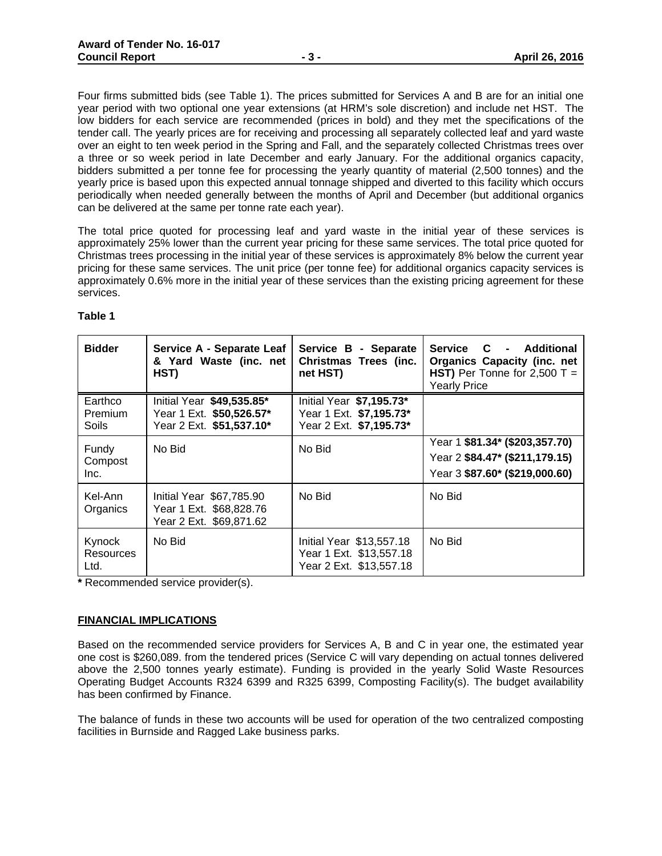Four firms submitted bids (see Table 1). The prices submitted for Services A and B are for an initial one year period with two optional one year extensions (at HRM's sole discretion) and include net HST. The low bidders for each service are recommended (prices in bold) and they met the specifications of the tender call. The yearly prices are for receiving and processing all separately collected leaf and yard waste over an eight to ten week period in the Spring and Fall, and the separately collected Christmas trees over a three or so week period in late December and early January. For the additional organics capacity, bidders submitted a per tonne fee for processing the yearly quantity of material (2,500 tonnes) and the yearly price is based upon this expected annual tonnage shipped and diverted to this facility which occurs periodically when needed generally between the months of April and December (but additional organics can be delivered at the same per tonne rate each year).

The total price quoted for processing leaf and yard waste in the initial year of these services is approximately 25% lower than the current year pricing for these same services. The total price quoted for Christmas trees processing in the initial year of these services is approximately 8% below the current year pricing for these same services. The unit price (per tonne fee) for additional organics capacity services is approximately 0.6% more in the initial year of these services than the existing pricing agreement for these services.

| <b>Bidder</b>               | Service A - Separate Leaf<br>& Yard Waste (inc. net<br>HST)                       | Service B - Separate<br>Christmas Trees (inc.<br>net HST)                      | Service C - Additional<br><b>Organics Capacity (inc. net</b><br>HST) Per Tonne for $2,500$ T =<br><b>Yearly Price</b> |
|-----------------------------|-----------------------------------------------------------------------------------|--------------------------------------------------------------------------------|-----------------------------------------------------------------------------------------------------------------------|
| Earthco<br>Premium<br>Soils | Initial Year \$49,535.85*<br>Year 1 Ext. \$50,526.57*<br>Year 2 Ext. \$51,537.10* | Initial Year \$7,195.73*<br>Year 1 Ext. \$7,195.73*<br>Year 2 Ext. \$7,195.73* |                                                                                                                       |
| Fundy<br>Compost<br>Inc.    | No Bid                                                                            | No Bid                                                                         | Year 1 \$81.34* (\$203,357.70)<br>Year 2 \$84.47* (\$211,179.15)<br>Year 3 \$87.60* (\$219,000.60)                    |
| Kel-Ann<br>Organics         | Initial Year \$67,785.90<br>Year 1 Ext. \$68,828.76<br>Year 2 Ext. \$69,871.62    | No Bid                                                                         | No Bid                                                                                                                |
| Kynock<br>Resources<br>Ltd. | No Bid                                                                            | Initial Year \$13,557.18<br>Year 1 Ext. \$13,557.18<br>Year 2 Ext. \$13,557.18 | No Bid                                                                                                                |

#### **Table 1**

**\*** Recommended service provider(s).

# **FINANCIAL IMPLICATIONS**

Based on the recommended service providers for Services A, B and C in year one, the estimated year one cost is \$260,089. from the tendered prices (Service C will vary depending on actual tonnes delivered above the 2,500 tonnes yearly estimate). Funding is provided in the yearly Solid Waste Resources Operating Budget Accounts R324 6399 and R325 6399, Composting Facility(s). The budget availability has been confirmed by Finance.

The balance of funds in these two accounts will be used for operation of the two centralized composting facilities in Burnside and Ragged Lake business parks.